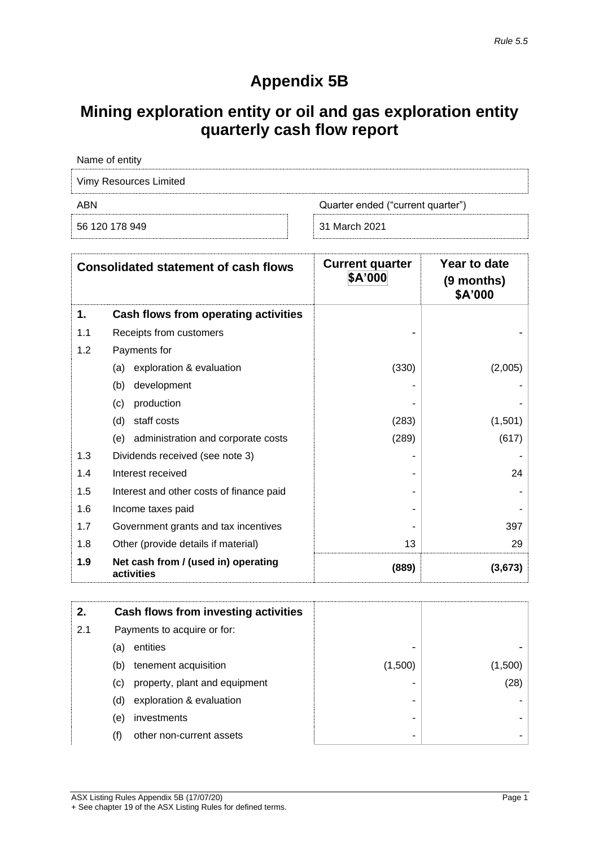## **Appendix 5B**

## **Mining exploration entity or oil and gas exploration entity quarterly cash flow report**

| Name of entity         |                                   |  |
|------------------------|-----------------------------------|--|
| Vimy Resources Limited |                                   |  |
| ABN                    | Quarter ended ("current quarter") |  |
| 56 120 178 949         | 31 March 2021                     |  |

|     | <b>Consolidated statement of cash flows</b>       | <b>Current quarter</b><br>\$A'000 | Year to date<br>(9 months)<br>\$A'000 |
|-----|---------------------------------------------------|-----------------------------------|---------------------------------------|
| 1.  | Cash flows from operating activities              |                                   |                                       |
| 1.1 | Receipts from customers                           |                                   |                                       |
| 1.2 | Payments for                                      |                                   |                                       |
|     | exploration & evaluation<br>(a)                   | (330)                             | (2,005)                               |
|     | (b)<br>development                                |                                   |                                       |
|     | production<br>(c)                                 |                                   |                                       |
|     | staff costs<br>(d)                                | (283)                             | (1,501)                               |
|     | administration and corporate costs<br>(e)         | (289)                             | (617)                                 |
| 1.3 | Dividends received (see note 3)                   |                                   |                                       |
| 1.4 | Interest received                                 |                                   | 24                                    |
| 1.5 | Interest and other costs of finance paid          |                                   |                                       |
| 1.6 | Income taxes paid                                 |                                   |                                       |
| 1.7 | Government grants and tax incentives              |                                   | 397                                   |
| 1.8 | Other (provide details if material)               | 13                                | 29                                    |
| 1.9 | Net cash from / (used in) operating<br>activities | (889)                             | (3,673)                               |

|     |     | Cash flows from investing activities |         |         |
|-----|-----|--------------------------------------|---------|---------|
| 2.1 |     | Payments to acquire or for:          |         |         |
|     | (a) | entities                             | -       |         |
|     | (b) | tenement acquisition                 | (1,500) | (1,500) |
|     | (C) | property, plant and equipment        |         | (28)    |
|     | (d) | exploration & evaluation             | -       |         |
|     | (e) | investments                          |         |         |
|     | (f) | other non-current assets             |         |         |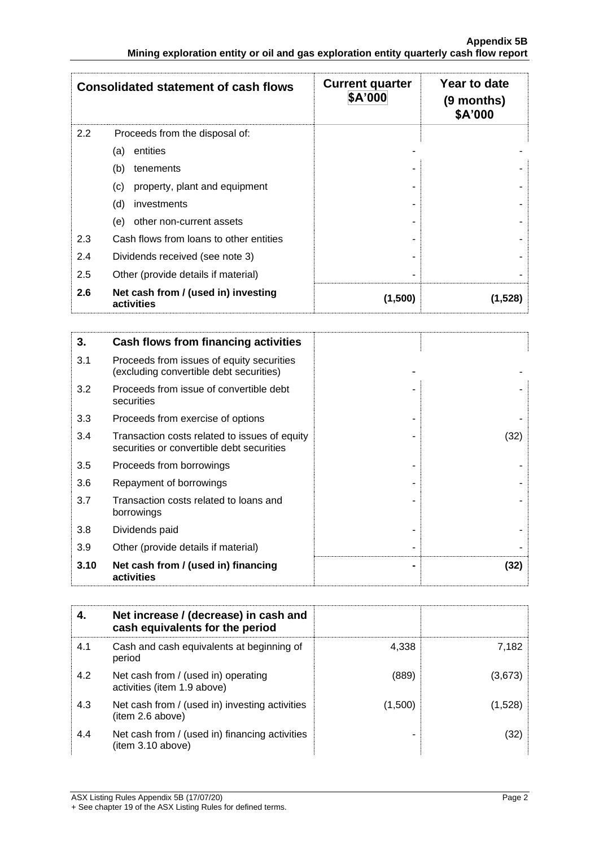| <b>Consolidated statement of cash flows</b> |                                                   | <b>Current quarter</b><br>\$A'000 | Year to date<br>(9 months)<br>\$A'000 |
|---------------------------------------------|---------------------------------------------------|-----------------------------------|---------------------------------------|
| 2.2                                         | Proceeds from the disposal of:                    |                                   |                                       |
|                                             | entities<br>(a)                                   |                                   |                                       |
|                                             | (b)<br>tenements                                  |                                   |                                       |
|                                             | property, plant and equipment<br>(c)              |                                   |                                       |
|                                             | (d)<br>investments                                |                                   |                                       |
|                                             | other non-current assets<br>(e)                   |                                   |                                       |
| 2.3                                         | Cash flows from loans to other entities           |                                   |                                       |
| 2.4                                         | Dividends received (see note 3)                   |                                   |                                       |
| 2.5                                         | Other (provide details if material)               |                                   |                                       |
| 2.6                                         | Net cash from / (used in) investing<br>activities | (1,500)                           | (1.528)                               |

| 3.   | Cash flows from financing activities                                                       |      |
|------|--------------------------------------------------------------------------------------------|------|
| 3.1  | Proceeds from issues of equity securities<br>(excluding convertible debt securities)       |      |
| 3.2  | Proceeds from issue of convertible debt<br>securities                                      |      |
| 3.3  | Proceeds from exercise of options                                                          |      |
| 3.4  | Transaction costs related to issues of equity<br>securities or convertible debt securities | (32) |
| 3.5  | Proceeds from borrowings                                                                   |      |
| 3.6  | Repayment of borrowings                                                                    |      |
| 3.7  | Transaction costs related to loans and<br>borrowings                                       |      |
| 3.8  | Dividends paid                                                                             |      |
| 3.9  | Other (provide details if material)                                                        |      |
| 3.10 | Net cash from / (used in) financing<br>activities                                          | (32) |

|     | Net increase / (decrease) in cash and<br>cash equivalents for the period |         |         |
|-----|--------------------------------------------------------------------------|---------|---------|
| 4.1 | Cash and cash equivalents at beginning of<br>period                      | 4.338   | 7.182   |
| 4.2 | Net cash from / (used in) operating<br>activities (item 1.9 above)       | (889)   | (3,673) |
| 4.3 | Net cash from / (used in) investing activities<br>(item 2.6 above)       | (1,500) | (1,528) |
| 4.4 | Net cash from / (used in) financing activities<br>item 3.10 above)       |         | (32)    |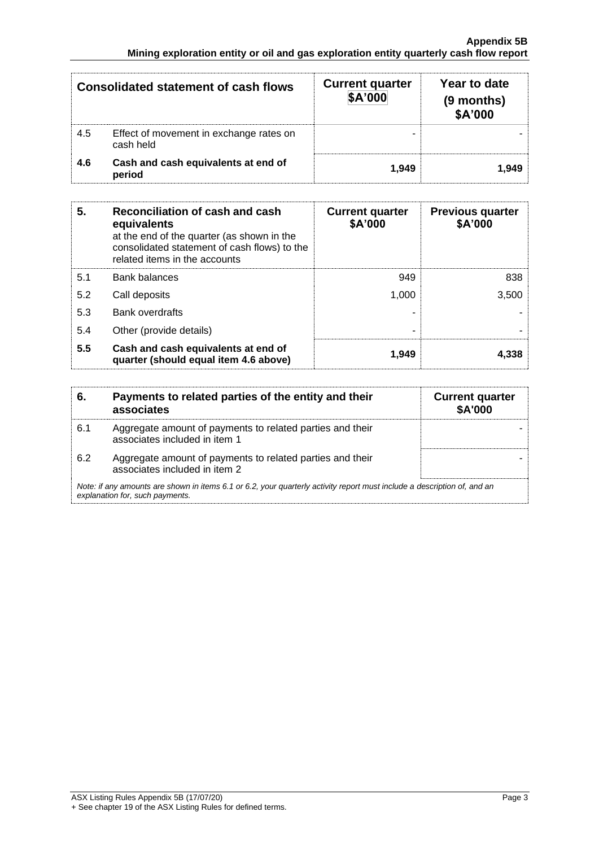| <b>Consolidated statement of cash flows</b> |                                                      | <b>Current quarter</b><br>\$A'000 | Year to date<br>(9 months)<br>\$A'000 |
|---------------------------------------------|------------------------------------------------------|-----------------------------------|---------------------------------------|
| 4.5                                         | Effect of movement in exchange rates on<br>cash held |                                   |                                       |
| 4.6                                         | Cash and cash equivalents at end of<br>period        | 1.949                             | 1.949                                 |

| 5.  | Reconciliation of cash and cash<br>equivalents<br>at the end of the quarter (as shown in the<br>consolidated statement of cash flows) to the<br>related items in the accounts | <b>Current quarter</b><br>\$A'000 | <b>Previous quarter</b><br>\$A'000 |
|-----|-------------------------------------------------------------------------------------------------------------------------------------------------------------------------------|-----------------------------------|------------------------------------|
| 5.1 | <b>Bank balances</b>                                                                                                                                                          | 949                               | 838                                |
| 5.2 | Call deposits                                                                                                                                                                 | 1.000                             | 3,500                              |
| 5.3 | Bank overdrafts                                                                                                                                                               |                                   |                                    |
| 5.4 | Other (provide details)                                                                                                                                                       |                                   |                                    |
| 5.5 | Cash and cash equivalents at end of<br>quarter (should equal item 4.6 above)                                                                                                  | 1,949                             | 4.338                              |

| 6.  | Payments to related parties of the entity and their<br>associates                                                                                           | <b>Current quarter</b><br><b>\$A'000</b> |  |
|-----|-------------------------------------------------------------------------------------------------------------------------------------------------------------|------------------------------------------|--|
| 6.1 | Aggregate amount of payments to related parties and their<br>associates included in item 1                                                                  |                                          |  |
| 6.2 | Aggregate amount of payments to related parties and their<br>associates included in item 2                                                                  |                                          |  |
|     | Note: if any amounts are shown in items 6.1 or 6.2, your quarterly activity report must include a description of, and an<br>explanation for, such payments. |                                          |  |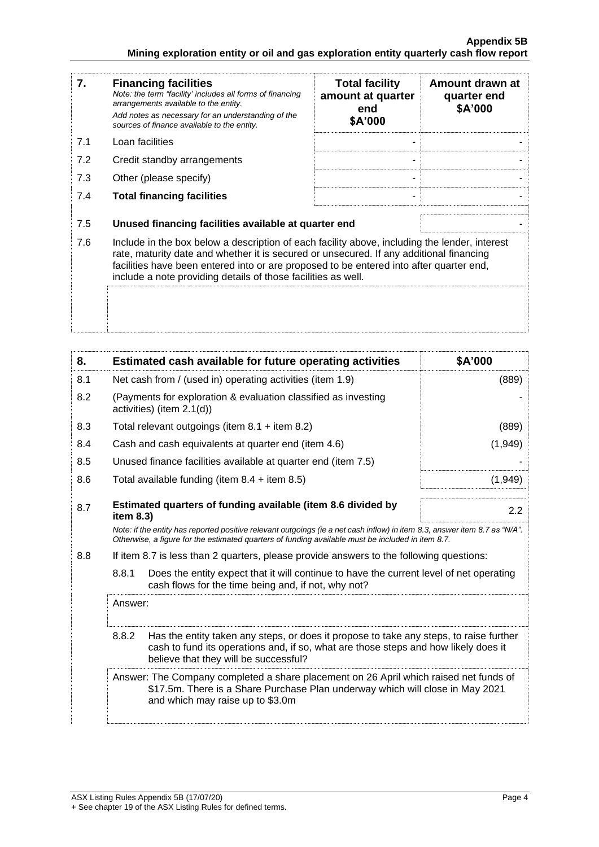| 7.  | <b>Financing facilities</b><br>Note: the term "facility' includes all forms of financing<br>arrangements available to the entity.<br>Add notes as necessary for an understanding of the<br>sources of finance available to the entity.                                                                                                               | <b>Total facility</b><br>amount at quarter<br>end<br>\$A'000 | Amount drawn at<br>quarter end<br>\$A'000 |
|-----|------------------------------------------------------------------------------------------------------------------------------------------------------------------------------------------------------------------------------------------------------------------------------------------------------------------------------------------------------|--------------------------------------------------------------|-------------------------------------------|
| 7.1 | Loan facilities                                                                                                                                                                                                                                                                                                                                      |                                                              |                                           |
| 7.2 | Credit standby arrangements                                                                                                                                                                                                                                                                                                                          |                                                              |                                           |
| 7.3 | Other (please specify)                                                                                                                                                                                                                                                                                                                               |                                                              |                                           |
| 7.4 | <b>Total financing facilities</b>                                                                                                                                                                                                                                                                                                                    |                                                              |                                           |
| 7.5 | Unused financing facilities available at quarter end                                                                                                                                                                                                                                                                                                 |                                                              |                                           |
| 7.6 | Include in the box below a description of each facility above, including the lender, interest<br>rate, maturity date and whether it is secured or unsecured. If any additional financing<br>facilities have been entered into or are proposed to be entered into after quarter end,<br>include a note providing details of those facilities as well. |                                                              |                                           |
|     |                                                                                                                                                                                                                                                                                                                                                      |                                                              |                                           |

| 8.  |                                                           | Estimated cash available for future operating activities                                                                                                                                                                        | \$A'000 |
|-----|-----------------------------------------------------------|---------------------------------------------------------------------------------------------------------------------------------------------------------------------------------------------------------------------------------|---------|
| 8.1 | Net cash from / (used in) operating activities (item 1.9) |                                                                                                                                                                                                                                 | (889)   |
| 8.2 |                                                           | (Payments for exploration & evaluation classified as investing<br>activities) (item 2.1(d))                                                                                                                                     |         |
| 8.3 |                                                           | Total relevant outgoings (item $8.1 +$ item $8.2$ )                                                                                                                                                                             | (889)   |
| 8.4 |                                                           | Cash and cash equivalents at quarter end (item 4.6)                                                                                                                                                                             | (1,949) |
| 8.5 |                                                           | Unused finance facilities available at quarter end (item 7.5)                                                                                                                                                                   |         |
| 8.6 |                                                           | Total available funding (item $8.4 +$ item $8.5$ )                                                                                                                                                                              | (1,949) |
| 8.7 | item 8.3)                                                 | Estimated quarters of funding available (item 8.6 divided by                                                                                                                                                                    | 2.2     |
|     |                                                           | Note: if the entity has reported positive relevant outgoings (ie a net cash inflow) in item 8.3, answer item 8.7 as "N/A".<br>Otherwise, a figure for the estimated quarters of funding available must be included in item 8.7. |         |
| 8.8 |                                                           | If item 8.7 is less than 2 quarters, please provide answers to the following questions:                                                                                                                                         |         |
|     | 8.8.1                                                     | Does the entity expect that it will continue to have the current level of net operating<br>cash flows for the time being and, if not, why not?                                                                                  |         |
|     | Answer:                                                   |                                                                                                                                                                                                                                 |         |
|     | 8.8.2                                                     | Has the entity taken any steps, or does it propose to take any steps, to raise further<br>cash to fund its operations and, if so, what are those steps and how likely does it<br>believe that they will be successful?          |         |
|     |                                                           | Answer: The Company completed a share placement on 26 April which raised net funds of<br>\$17.5m. There is a Share Purchase Plan underway which will close in May 2021<br>and which may raise up to \$3.0m                      |         |